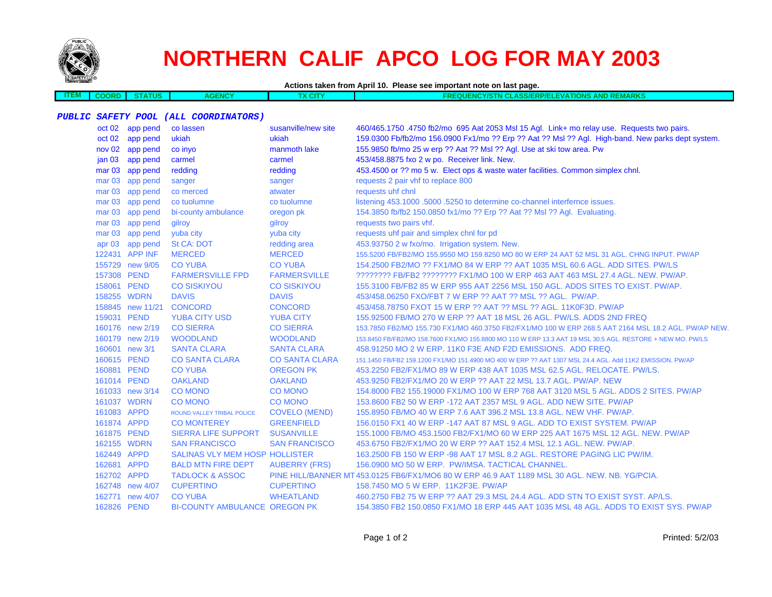

## **NORTHERN CALIF APCO LOG FOR MAY 2003**

**Actions taken from April 10. Please see important note on last page.**

**ITEM COORD STATUSAGENCY TX CITY FREQUENCY/STN CLASS/ERP/ELEVATIONS AND REMARKS**

## **PUBLIC SAFETY POOL (ALL COORDINATORS)**

|                   | oct 02 app pend  | co lassen                            | susanville/new site   | 460/465.1750 .4750 fb2/mo 695 Aat 2053 Msl 15 Agl. Link+ mo relay use. Requests two pairs.                 |
|-------------------|------------------|--------------------------------------|-----------------------|------------------------------------------------------------------------------------------------------------|
|                   | oct 02 app pend  | ukiah                                | ukiah                 | 159.0300 Fb/fb2/mo 156.0900 Fx1/mo ?? Erp ?? Aat ?? Msl ?? Agl. High-band. New parks dept system.          |
|                   | nov 02 app pend  | co invo                              | manmoth lake          | 155.9850 fb/mo 25 w erp ?? Aat ?? Msl ?? Agl. Use at ski tow area. Pw                                      |
| jan <sub>03</sub> | app pend         | carmel                               | carmel                | 453/458.8875 fxo 2 w po. Receiver link. New.                                                               |
|                   | mar 03 app pend  | redding                              | redding               | 453.4500 or ?? mo 5 w. Elect ops & waste water facilities. Common simplex chnl.                            |
|                   | mar 03 app pend  | sanger                               | sanger                | requests 2 pair vhf to replace 800                                                                         |
|                   | mar 03 app pend  | co merced                            | atwater               | requests uhf chnl                                                                                          |
|                   | mar 03 app pend  | co tuolumne                          | co tuolumne           | listening 453.1000 .5000 .5250 to determine co-channel interfernce issues.                                 |
|                   | mar 03 app pend  | bi-county ambulance                  | oregon pk             | 154.3850 fb/fb2 150.0850 fx1/mo ?? Erp ?? Aat ?? Msl ?? Agl. Evaluating.                                   |
|                   | mar 03 app pend  | gilroy                               | gilroy                | requests two pairs vhf.                                                                                    |
|                   | mar 03 app pend  | yuba city                            | yuba city             | requests uhf pair and simplex chnl for pd                                                                  |
|                   | apr 03 app pend  | <b>St CA: DOT</b>                    | redding area          | 453.93750 2 w fxo/mo. Irrigation system. New.                                                              |
|                   | 122431 APP INF   | <b>MERCED</b>                        | <b>MERCED</b>         | 155,5200 FB/FB2/MO 155,9550 MO 159,8250 MO 80 W ERP 24 AAT 52 MSL 31 AGL, CHNG INPUT, PW/AP                |
|                   | 155729 new 9/05  | <b>CO YUBA</b>                       | <b>CO YUBA</b>        | 154.2500 FB2/MO ?? FX1/MO 84 W ERP ?? AAT 1035 MSL 60.6 AGL. ADD SITES. PW/LS                              |
| 157308 PEND       |                  | <b>FARMERSVILLE FPD</b>              | <b>FARMERSVILLE</b>   | ???????? FB/FB2 ???????? FX1/MO 100 W ERP 463 AAT 463 MSL 27.4 AGL. NEW. PW/AP.                            |
| 158061 PEND       |                  | <b>CO SISKIYOU</b>                   | <b>CO SISKIYOU</b>    | 155.3100 FB/FB2 85 W ERP 955 AAT 2256 MSL 150 AGL. ADDS SITES TO EXIST. PW/AP.                             |
| 158255 WDRN       |                  | <b>DAVIS</b>                         | <b>DAVIS</b>          | 453/458.06250 FXO/FBT 7 W ERP ?? AAT ?? MSL ?? AGL. PW/AP.                                                 |
|                   | 158845 new 11/21 | <b>CONCORD</b>                       | <b>CONCORD</b>        | 453/458.78750 FXOT 15 W ERP ?? AAT ?? MSL ?? AGL. 11K0F3D. PW/AP                                           |
| 159031 PEND       |                  | <b>YUBA CITY USD</b>                 | <b>YUBA CITY</b>      | 155.92500 FB/MO 270 W ERP ?? AAT 18 MSL 26 AGL. PW/LS. ADDS 2ND FREQ                                       |
|                   | 160176 new 2/19  | <b>CO SIERRA</b>                     | <b>CO SIERRA</b>      | 153.7850 FB2/MO 155.730 FX1/MO 460.3750 FB2/FX1/MO 100 W ERP 268.5 AAT 2164 MSL 18.2 AGL. PW/AP NEW.       |
|                   | 160179 new 2/19  | <b>WOODLAND</b>                      | <b>WOODLAND</b>       | 153.8450 FB/FB2/MO 158.7600 FX1/MO 155.8800 MO 110 W ERP 13.3 AAT 19 MSL 30.5 AGL. RESTORE + NEW MO. PW/LS |
| 160601 new 3/1    |                  | <b>SANTA CLARA</b>                   | <b>SANTA CLARA</b>    | 458,91250 MO 2 W ERP, 11K0 F3E AND F2D EMISSIONS. ADD FREQ.                                                |
| 160615 PEND       |                  | <b>CO SANTA CLARA</b>                | <b>CO SANTA CLARA</b> | 151.1450 FB/FB2 159.1200 FX1/MO 151.4900 MO 400 W ERP ?? AAT 1307 MSL 24.4 AGL. Add 11K2 EMISSION, PW/AP   |
| 160881 PEND       |                  | <b>CO YUBA</b>                       | <b>OREGON PK</b>      | 453.2250 FB2/FX1/MO 89 W ERP 438 AAT 1035 MSL 62.5 AGL. RELOCATE. PW/LS.                                   |
| 161014 PEND       |                  | <b>OAKLAND</b>                       | <b>OAKLAND</b>        | 453.9250 FB2/FX1/MO 20 W ERP ?? AAT 22 MSL 13.7 AGL. PW/AP. NEW                                            |
|                   | 161033 new 3/14  | <b>CO MONO</b>                       | <b>CO MONO</b>        | 154.8000 FB2 155.19000 FX1/MO 100 W ERP 768 AAT 3120 MSL 5 AGL. ADDS 2 SITES. PW/AP                        |
| 161037 WDRN       |                  | <b>CO MONO</b>                       | <b>CO MONO</b>        | 153,8600 FB2 50 W ERP -172 AAT 2357 MSL 9 AGL, ADD NEW SITE, PW/AP                                         |
| 161083 APPD       |                  | ROUND VALLEY TRIBAL POLICE           | <b>COVELO (MEND)</b>  | 155.8950 FB/MO 40 W ERP 7.6 AAT 396.2 MSL 13.8 AGL. NEW VHF. PW/AP.                                        |
| 161874 APPD       |                  | <b>CO MONTEREY</b>                   | <b>GREENFIELD</b>     | 156.0150 FX1 40 W ERP -147 AAT 87 MSL 9 AGL. ADD TO EXIST SYSTEM. PW/AP                                    |
| 161875 PEND       |                  | SIERRA LIFE SUPPORT                  | <b>SUSANVILLE</b>     | 155.1000 FB/MO 453.1500 FB2/FX1/MO 60 W ERP 225 AAT 1675 MSL 12 AGL. NEW. PW/AP                            |
| 162155 WDRN       |                  | <b>SAN FRANCISCO</b>                 | <b>SAN FRANCISCO</b>  | 453.6750 FB2/FX1/MO 20 W ERP ?? AAT 152.4 MSL 12.1 AGL. NEW. PW/AP.                                        |
| 162449 APPD       |                  | SALINAS VLY MEM HOSP HOLLISTER       |                       | 163.2500 FB 150 W ERP -98 AAT 17 MSL 8.2 AGL. RESTORE PAGING LIC PW/IM.                                    |
| 162681 APPD       |                  | <b>BALD MTN FIRE DEPT</b>            | <b>AUBERRY (FRS)</b>  | 156.0900 MO 50 W ERP. PW/IMSA. TACTICAL CHANNEL.                                                           |
| 162702 APPD       |                  | <b>TADLOCK &amp; ASSOC</b>           |                       | PINE HILL/BANNER MT 453.0125 FB6/FX1/MO6 80 W ERP 46.9 AAT 1189 MSL 30 AGL. NEW. NB. YG/PCIA.              |
|                   | 162748 new 4/07  | <b>CUPERTINO</b>                     | <b>CUPERTINO</b>      | 158.7450 MO 5 W ERP. 11K2F3E. PW/AP                                                                        |
|                   | 162771 new 4/07  | <b>CO YUBA</b>                       | <b>WHEATLAND</b>      | 460.2750 FB2 75 W ERP ?? AAT 29.3 MSL 24.4 AGL. ADD STN TO EXIST SYST. AP/LS.                              |
| 162826 PEND       |                  | <b>BI-COUNTY AMBULANCE OREGON PK</b> |                       | 154,3850 FB2 150,0850 FX1/MO 18 ERP 445 AAT 1035 MSL 48 AGL. ADDS TO EXIST SYS, PW/AP                      |